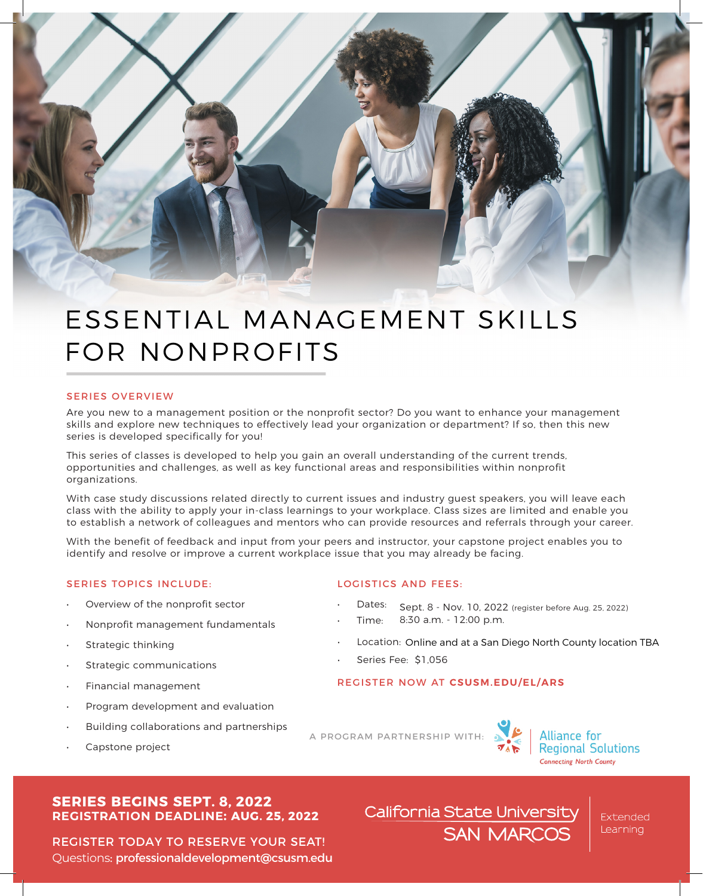

# ESSENTIAL MANAGEMENT SKILLS FOR NONPROFITS

### SERIES OVERVIEW

Are you new to a management position or the nonprofit sector? Do you want to enhance your management skills and explore new techniques to effectively lead your organization or department? If so, then this new series is developed specifically for you!

This series of classes is developed to help you gain an overall understanding of the current trends, opportunities and challenges, as well as key functional areas and responsibilities within nonprofit organizations.

With case study discussions related directly to current issues and industry guest speakers, you will leave each class with the ability to apply your in-class learnings to your workplace. Class sizes are limited and enable you to establish a network of colleagues and mentors who can provide resources and referrals through your career.

With the benefit of feedback and input from your peers and instructor, your capstone project enables you to identify and resolve or improve a current workplace issue that you may already be facing.

## SERIES TOPICS INCLUDE: LOGISTICS AND FEES:

- Overview of the nonprofit sector
- Nonprofit management fundamentals
- Strategic thinking
- Strategic communications
- Financial management
- Program development and evaluation
- Building collaborations and partnerships
- Capstone project

- Dates: Sept. 8 Nov. 10, 2022 (register before Aug. 25, 2022)
- Time: 8:30 a.m. - 12:00 p.m.
- Location: Online and at a San Diego North County location TBA
- Series Fee: \$1,056

# REGISTER NOW AT **[CSUSM.EDU/EL/ARS](https://www.csusm.edu/el/programs/business/certars/index.html)**



A PROGRAM PARTNERSHIP WITH: A Regional Solutions **Connecting North County** 

# **SERIES BEGINS SEPT. 8, 2022 REGISTRATION DEADLINE: AUG. 25, 2022**

REGISTER TODAY [TO RESERVE YOUR SEAT!](mailto:professionaldevelopment@csusm.edu) Questions: professionaldevelopment@csusm.edu California State University **SAN MARCOS** 

**Extended** Learning